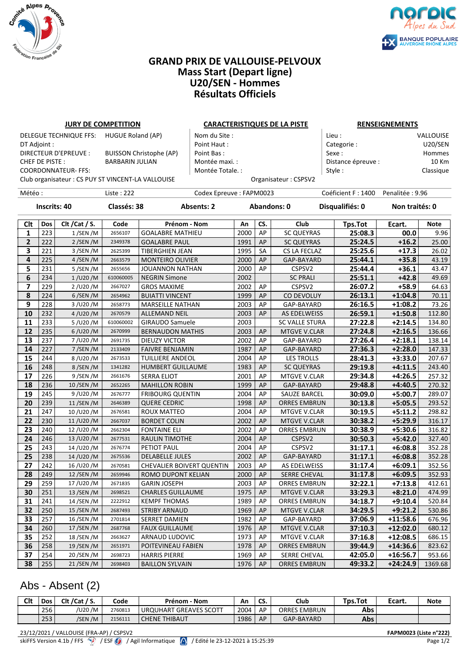



### **GRAND PRIX DE VALLOUISE-PELVOUX Mass Start (Depart ligne) U20/SEN - Hommes Résultats Officiels**

### **JURY DE COMPETITION CARACTERISTIQUES DE LA PISTE RENSEIGNEMENTS**

| DELEGUE TECHNIQUE FFS: HUGUE Roland (AP)           |                                | Nom du Site :    | Lieu :               | <b>VALLOUISE</b> |
|----------------------------------------------------|--------------------------------|------------------|----------------------|------------------|
| DT Adjoint :                                       |                                | Point Haut:      | Categorie:           | U20/SEN          |
| DIRECTEUR D'EPREUVE :                              | <b>BUISSON Christophe (AP)</b> | Point Bas:       | Sexe :               | Hommes           |
| CHEF DE PISTE :                                    | <b>BARBARIN JULIAN</b>         | Montée maxi. :   | Distance épreuve :   | 10 Km            |
| COORDONNATEUR- FFS:                                |                                | Montée Totale. : | Style :              | Classique        |
| Club organisateur : CS PUY ST VINCENT-LA VALLOUISE |                                |                  | Organisateur: CSPSV2 |                  |

| Lieu :             | <b>VALLOUISE</b> |
|--------------------|------------------|
| Categorie:         | U20/SEN          |
| Sexe:              | Hommes           |
| Distance épreuve : | 10 Km            |
| Style:             | Classique        |
|                    |                  |

Météo : Liste : 222 Codex Epreuve : FAPM0023 Coéficient F : 1400 Penalitée : 9.96

# **Inscrits: 40 Classés: 38 Absents: 2 Abandons: 0 Disqualifiés: 0 Non traités: 0**

| Clt                     | Dos | Clt / Cat / S. | Code      | Prénom - Nom                     | An   | CS.       | Club                  | <b>Tps.Tot</b> | Ecart.               | <b>Note</b> |
|-------------------------|-----|----------------|-----------|----------------------------------|------|-----------|-----------------------|----------------|----------------------|-------------|
| 1                       | 223 | $1/$ SEN /M    | 2656107   | <b>GOALABRE MATHIEU</b>          | 2000 | AP        | <b>SC QUEYRAS</b>     | 25:08.3        | 00.0                 | 9.96        |
| $\mathbf{2}$            | 222 | $2/$ SEN /M    | 2349378   | <b>GOALABRE PAUL</b>             | 1991 | AP        | <b>SC QUEYRAS</b>     | 25:24.5        | $+16.2$              | 25.00       |
| 3                       | 221 | 3/SEN/M        | 2625399   | TIBERGHIEN JEAN                  | 1995 | <b>SA</b> | <b>CS LA FECLAZ</b>   | 25:25.6        | $+17.3$              | 26.02       |
| 4                       | 225 | 4/SEN/M        | 2663579   | <b>MONTEIRO OLIVIER</b>          | 2000 | AP        | GAP-BAYARD            | 25:44.1        | $+35.8$              | 43.19       |
| 5                       | 231 | 5/SEN/M        | 2655656   | JOUANNON NATHAN                  | 2000 | AP        | CSPSV2                | 25:44.4        | $+36.1$              | 43.47       |
| 6                       | 234 | 1/UD20/M       | 610060005 | <b>NEGRIN Simone</b>             | 2002 |           | <b>SC PRALI</b>       | 25:51.1        | $+42.8$              | 49.69       |
| $\overline{\mathbf{z}}$ | 229 | 2/U20/M        | 2667027   | <b>GROS MAXIME</b>               | 2002 | AP        | CSPSV2                | 26:07.2        | $+58.9$              | 64.63       |
| 8                       | 224 | 6/SEN/M        | 2654962   | <b>BUIATTI VINCENT</b>           | 1999 | AP        | <b>CO DEVOLUY</b>     | 26:13.1        | $+1:04.8$            | 70.11       |
| 9                       | 228 | 3/U20/M        | 2658773   | <b>MARSEILLE NATHAN</b>          | 2003 | AP        | GAP-BAYARD            | 26:16.5        | $+1:08.2$            | 73.26       |
| 10                      | 232 | 4/U20/M        | 2670579   | ALLEMAND NEIL                    | 2003 | AP        | AS EDELWEISS          | 26:59.1        | $+1:50.8$            | 112.80      |
| 11                      | 233 | 5/U20/M        | 610060002 | <b>GIRAUDO Samuele</b>           | 2003 |           | <b>SC VALLE STURA</b> | 27:22.8        | $+2:14.5$            | 134.80      |
| 12                      | 235 | $6/$ U20 /M    | 2670999   | <b>BERNAUDON MATHIS</b>          | 2003 | AP        | <b>MTGVE V.CLAR</b>   | 27:24.8        | $+2:16.5$            | 136.66      |
| 13                      | 237 | 7/U20/M        | 2691735   | <b>DIEUZY VICTOR</b>             | 2002 | AP        | GAP-BAYARD            | 27:26.4        | $+2:18.1$            | 138.14      |
| 14                      | 227 | 7/SEN/M        | 2133409   | <b>FAIVRE BENJAMIN</b>           | 1987 | AP        | GAP-BAYARD            | 27:36.3        | $+2:28.0$            | 147.33      |
| 15                      | 244 | 8/U20/M        | 2673533   | TUILLIERE ANDEOL                 | 2004 | AP        | <b>LES TROLLS</b>     | 28:41.3        | $+3:33.0$            | 207.67      |
| 16                      | 248 | 8/SEN/M        | 1341282   | <b>HUMBERT GUILLAUME</b>         | 1983 | AP        | <b>SC QUEYRAS</b>     | 29:19.8        | $+4:11.5$            | 243.40      |
| 17                      | 226 | 9 /SEN /M      | 2661676   | <b>SERRA ELIOT</b>               | 2001 | AP        | MTGVE V.CLAR          | 29:34.8        | $+4:26.5$            | 257.32      |
| 18                      | 236 | 10/SEN/M       | 2652265   | <b>MAHILLON ROBIN</b>            | 1999 | AP        | GAP-BAYARD            | 29:48.8        | $+4:40.5$            | 270.32      |
| 19                      | 245 | 9/U20/M        | 2676777   | <b>FRIBOURG QUENTIN</b>          | 2004 | AP        | <b>SAUZE BARCEL</b>   | 30:09.0        | $+5:00.\overline{7}$ | 289.07      |
| 20                      | 239 | 11/SEN/M       | 2646389   | <b>QUERE CEDRIC</b>              | 1998 | AP        | <b>ORRES EMBRUN</b>   | 30:13.8        | $+5:05.5$            | 293.52      |
| 21                      | 247 | 10/U20/M       | 2676581   | ROUX MATTEO                      | 2004 | AP        | <b>MTGVE V.CLAR</b>   | 30:19.5        | $+5:11.2$            | 298.82      |
| 22                      | 230 | 11/U20/M       | 2667037   | <b>BORDET COLIN</b>              | 2002 | AP        | <b>MTGVE V.CLAR</b>   | 30:38.2        | $+5:29.9$            | 316.17      |
| 23                      | 240 | 12/U20/M       | 2662304   | <b>FONTAINE ELI</b>              | 2002 | AP        | <b>ORRES EMBRUN</b>   | 30:38.9        | $+5:30.6$            | 316.82      |
| 24                      | 246 | 13/U20/M       | 2677531   | <b>RAULIN TIMOTHE</b>            | 2004 | AP        | CSPSV2                | 30:50.3        | $+5:42.0$            | 327.40      |
| 25                      | 243 | 14/U20/M       | 2676774   | PETIOT PAUL                      | 2004 | AP        | CSPSV2                | 31:17.1        | $+6:08.8$            | 352.28      |
| 25                      | 238 | 14/U20/M       | 2675536   | <b>DELABELLE JULES</b>           | 2002 | AP        | GAP-BAYARD            | 31:17.1        | $+6:08.8$            | 352.28      |
| 27                      | 242 | 16/U20/M       | 2670581   | <b>CHEVALIER BOIVERT QUENTIN</b> | 2003 | AP        | AS EDELWEISS          | 31:17.4        | $+6:09.1$            | 352.56      |
| 28                      | 249 | 12 / SEN / M   | 2659946   | ROMO DUPONT KELIAN               | 2000 | AP        | <b>SERRE CHEVAL</b>   | 31:17.8        | $+6:09.5$            | 352.93      |
| 29                      | 259 | 17/U20/M       | 2671835   | <b>GARIN JOSEPH</b>              | 2003 | AP        | <b>ORRES EMBRUN</b>   | 32:22.1        | $+7:13.8$            | 412.61      |
| 30                      | 251 | 13 / SEN / M   | 2698521   | <b>CHARLES GUILLAUME</b>         | 1975 | AP        | <b>MTGVE V.CLAR</b>   | 33:29.3        | $+8:21.0$            | 474.99      |
| 31                      | 241 | 14 / SEN / M   | 2222912   | <b>KEMPF THOMAS</b>              | 1989 | AP        | <b>ORRES EMBRUN</b>   | 34:18.7        | $+9:10.4$            | 520.84      |
| 32                      | 250 | 15 / SEN / M   | 2687493   | <b>STRIBY ARNAUD</b>             | 1969 | AP        | <b>MTGVE V.CLAR</b>   | 34:29.5        | $+9:21.2$            | 530.86      |
| 33                      | 257 | 16 / SEN / M   | 2701814   | <b>SERRET DAMIEN</b>             | 1982 | AP        | GAP-BAYARD            | 37:06.9        | $+11:58.6$           | 676.96      |
| 34                      | 260 | 17 / SEN / M   | 2687768   | <b>FAUX GUILLAUME</b>            | 1976 | AP        | <b>MTGVE V.CLAR</b>   | 37:10.3        | $+12:02.0$           | 680.12      |
| 35                      | 252 | 18 / SEN / M   | 2663627   | <b>ARNAUD LUDOVIC</b>            | 1973 | AP        | MTGVE V.CLAR          | 37:16.8        | $+12:08.5$           | 686.15      |
| 36                      | 258 | 19 / SEN / M   | 2651971   | POITEVINEAU FABIEN               | 1978 | AP        | <b>ORRES EMBRUN</b>   | 39:44.9        | $+14:36.6$           | 823.62      |
| 37                      | 254 | 20 / SEN / M   | 2698723   | <b>HARRIS PIERRE</b>             | 1969 | AP        | <b>SERRE CHEVAL</b>   | 42:05.0        | $+16:56.7$           | 953.66      |
| 38                      | 255 | 21/SEN/M       | 2698403   | <b>BAILLON SYLVAIN</b>           | 1976 | AP        | <b>ORRES EMBRUN</b>   | 49:33.2        | $+24:24.9$           | 1369.68     |

# Abs - Absent (2)

| Clt | Dos | Clt / Cat / S. | Code    | · Nom<br>Prénom                         | Αn   | r.<br>LJ. | Club                            | <b>Tps.Tot</b> | Ecart. | <b>Note</b> |
|-----|-----|----------------|---------|-----------------------------------------|------|-----------|---------------------------------|----------------|--------|-------------|
|     | 256 | /U20 /M        | 2760813 | <b>GREAVES SCOTT</b><br><b>URQUHART</b> | 2004 | AP        | <b>EMBRUN</b><br><b>ORRES E</b> | Abs            |        |             |
|     | 253 | /SEN /M        | 2156111 | E THIBAUT<br><b>CHENE</b>               | 1986 | AP        | GAP-BAYARD                      | <b>Abs</b>     |        |             |